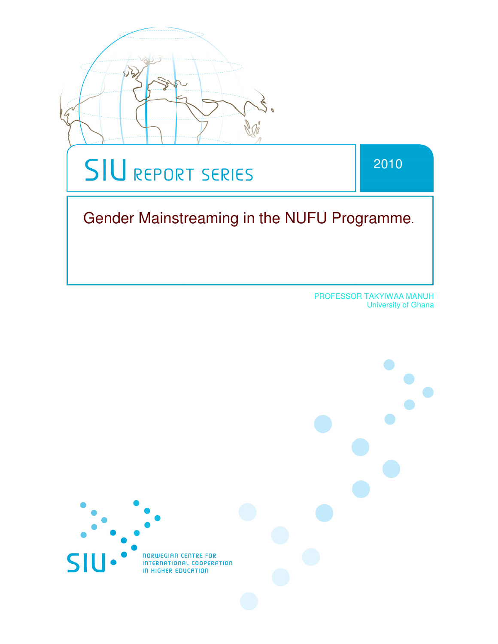

 PROFESSOR TAKYIWAA MANUH University of Ghana

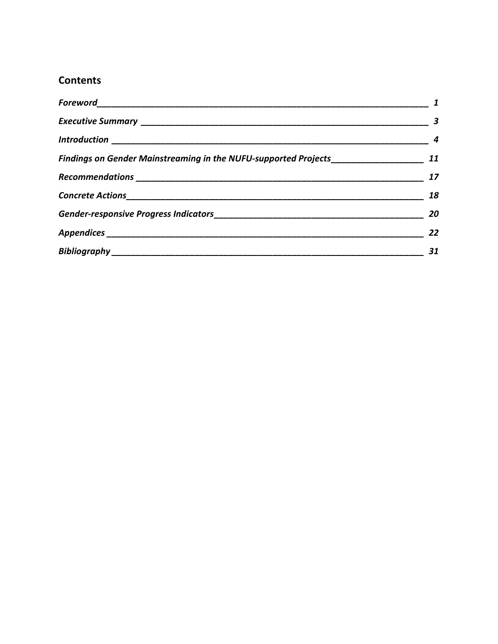# **Contents**

|                                                                                  | $\overline{\mathbf{3}}$ |
|----------------------------------------------------------------------------------|-------------------------|
|                                                                                  | $\overline{\mathbf{4}}$ |
| Findings on Gender Mainstreaming in the NUFU-supported Projects_________________ | 11                      |
|                                                                                  | 17                      |
|                                                                                  | 18                      |
|                                                                                  | 20                      |
|                                                                                  | 22                      |
|                                                                                  | 31                      |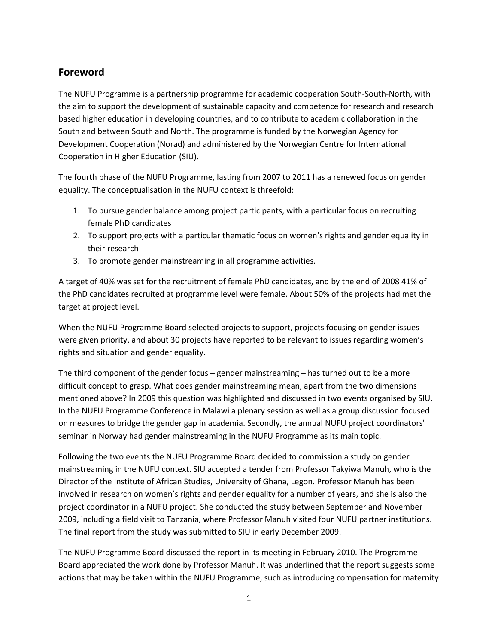# **Foreword**

The NUFU Programme is a partnership programme for academic cooperation South-South-North, with the aim to support the development of sustainable capacity and competence for research and research based higher education in developing countries, and to contribute to academic collaboration in the South and between South and North. The programme is funded by the Norwegian Agency for Development Cooperation (Norad) and administered by the Norwegian Centre for International Cooperation in Higher Education (SIU).

The fourth phase of the NUFU Programme, lasting from 2007 to 2011 has a renewed focus on gender equality. The conceptualisation in the NUFU context is threefold:

- 1. To pursue gender balance among project participants, with a particular focus on recruiting female PhD candidates
- 2. To support projects with a particular thematic focus on women's rights and gender equality in their research
- 3. To promote gender mainstreaming in all programme activities.

A target of 40% was set for the recruitment of female PhD candidates, and by the end of 2008 41% of the PhD candidates recruited at programme level were female. About 50% of the projects had met the target at project level.

When the NUFU Programme Board selected projects to support, projects focusing on gender issues were given priority, and about 30 projects have reported to be relevant to issues regarding women's rights and situation and gender equality.

The third component of the gender focus – gender mainstreaming – has turned out to be a more difficult concept to grasp. What does gender mainstreaming mean, apart from the two dimensions mentioned above? In 2009 this question was highlighted and discussed in two events organised by SIU. In the NUFU Programme Conference in Malawi a plenary session as well as a group discussion focused on measures to bridge the gender gap in academia. Secondly, the annual NUFU project coordinators' seminar in Norway had gender mainstreaming in the NUFU Programme as its main topic.

Following the two events the NUFU Programme Board decided to commission a study on gender mainstreaming in the NUFU context. SIU accepted a tender from Professor Takyiwa Manuh, who is the Director of the Institute of African Studies, University of Ghana, Legon. Professor Manuh has been involved in research on women's rights and gender equality for a number of years, and she is also the project coordinator in a NUFU project. She conducted the study between September and November 2009, including a field visit to Tanzania, where Professor Manuh visited four NUFU partner institutions. The final report from the study was submitted to SIU in early December 2009.

The NUFU Programme Board discussed the report in its meeting in February 2010. The Programme Board appreciated the work done by Professor Manuh. It was underlined that the report suggests some actions that may be taken within the NUFU Programme, such as introducing compensation for maternity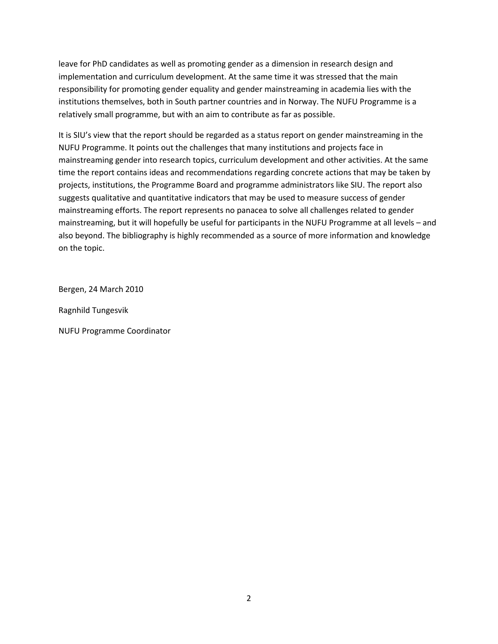leave for PhD candidates as well as promoting gender as a dimension in research design and implementation and curriculum development. At the same time it was stressed that the main responsibility for promoting gender equality and gender mainstreaming in academia lies with the institutions themselves, both in South partner countries and in Norway. The NUFU Programme is a relatively small programme, but with an aim to contribute as far as possible.

It is SIU's view that the report should be regarded as a status report on gender mainstreaming in the NUFU Programme. It points out the challenges that many institutions and projects face in mainstreaming gender into research topics, curriculum development and other activities. At the same time the report contains ideas and recommendations regarding concrete actions that may be taken by projects, institutions, the Programme Board and programme administrators like SIU. The report also suggests qualitative and quantitative indicators that may be used to measure success of gender mainstreaming efforts. The report represents no panacea to solve all challenges related to gender mainstreaming, but it will hopefully be useful for participants in the NUFU Programme at all levels – and also beyond. The bibliography is highly recommended as a source of more information and knowledge on the topic.

Bergen, 24 March 2010

Ragnhild Tungesvik

NUFU Programme Coordinator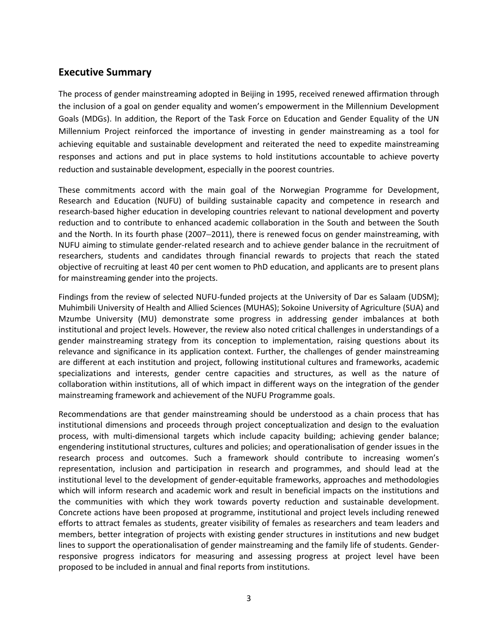## **Executive Summary**

The process of gender mainstreaming adopted in Beijing in 1995, received renewed affirmation through the inclusion of a goal on gender equality and women's empowerment in the Millennium Development Goals (MDGs). In addition, the Report of the Task Force on Education and Gender Equality of the UN Millennium Project reinforced the importance of investing in gender mainstreaming as a tool for achieving equitable and sustainable development and reiterated the need to expedite mainstreaming responses and actions and put in place systems to hold institutions accountable to achieve poverty reduction and sustainable development, especially in the poorest countries.

These commitments accord with the main goal of the Norwegian Programme for Development, Research and Education (NUFU) of building sustainable capacity and competence in research and research-based higher education in developing countries relevant to national development and poverty reduction and to contribute to enhanced academic collaboration in the South and between the South and the North. In its fourth phase (2007–2011), there is renewed focus on gender mainstreaming, with NUFU aiming to stimulate gender-related research and to achieve gender balance in the recruitment of researchers, students and candidates through financial rewards to projects that reach the stated objective of recruiting at least 40 per cent women to PhD education, and applicants are to present plans for mainstreaming gender into the projects.

Findings from the review of selected NUFU-funded projects at the University of Dar es Salaam (UDSM); Muhimbili University of Health and Allied Sciences (MUHAS); Sokoine University of Agriculture (SUA) and Mzumbe University (MU) demonstrate some progress in addressing gender imbalances at both institutional and project levels. However, the review also noted critical challenges in understandings of a gender mainstreaming strategy from its conception to implementation, raising questions about its relevance and significance in its application context. Further, the challenges of gender mainstreaming are different at each institution and project, following institutional cultures and frameworks, academic specializations and interests, gender centre capacities and structures, as well as the nature of collaboration within institutions, all of which impact in different ways on the integration of the gender mainstreaming framework and achievement of the NUFU Programme goals.

Recommendations are that gender mainstreaming should be understood as a chain process that has institutional dimensions and proceeds through project conceptualization and design to the evaluation process, with multi-dimensional targets which include capacity building; achieving gender balance; engendering institutional structures, cultures and policies; and operationalisation of gender issues in the research process and outcomes. Such a framework should contribute to increasing women's representation, inclusion and participation in research and programmes, and should lead at the institutional level to the development of gender-equitable frameworks, approaches and methodologies which will inform research and academic work and result in beneficial impacts on the institutions and the communities with which they work towards poverty reduction and sustainable development. Concrete actions have been proposed at programme, institutional and project levels including renewed efforts to attract females as students, greater visibility of females as researchers and team leaders and members, better integration of projects with existing gender structures in institutions and new budget lines to support the operationalisation of gender mainstreaming and the family life of students. Genderresponsive progress indicators for measuring and assessing progress at project level have been proposed to be included in annual and final reports from institutions.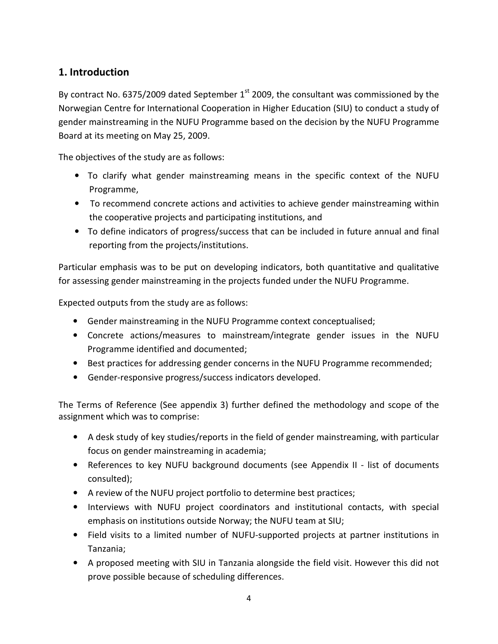# **1. Introduction**

By contract No. 6375/2009 dated September  $1<sup>st</sup>$  2009, the consultant was commissioned by the Norwegian Centre for International Cooperation in Higher Education (SIU) to conduct a study of gender mainstreaming in the NUFU Programme based on the decision by the NUFU Programme Board at its meeting on May 25, 2009.

The objectives of the study are as follows:

- To clarify what gender mainstreaming means in the specific context of the NUFU Programme,
- To recommend concrete actions and activities to achieve gender mainstreaming within the cooperative projects and participating institutions, and
- To define indicators of progress/success that can be included in future annual and final reporting from the projects/institutions.

Particular emphasis was to be put on developing indicators, both quantitative and qualitative for assessing gender mainstreaming in the projects funded under the NUFU Programme.

Expected outputs from the study are as follows:

- Gender mainstreaming in the NUFU Programme context conceptualised;
- Concrete actions/measures to mainstream/integrate gender issues in the NUFU Programme identified and documented;
- Best practices for addressing gender concerns in the NUFU Programme recommended;
- Gender-responsive progress/success indicators developed.

The Terms of Reference (See appendix 3) further defined the methodology and scope of the assignment which was to comprise:

- A desk study of key studies/reports in the field of gender mainstreaming, with particular focus on gender mainstreaming in academia;
- References to key NUFU background documents (see Appendix II list of documents consulted);
- A review of the NUFU project portfolio to determine best practices;
- Interviews with NUFU project coordinators and institutional contacts, with special emphasis on institutions outside Norway; the NUFU team at SIU;
- Field visits to a limited number of NUFU-supported projects at partner institutions in Tanzania;
- A proposed meeting with SIU in Tanzania alongside the field visit. However this did not prove possible because of scheduling differences.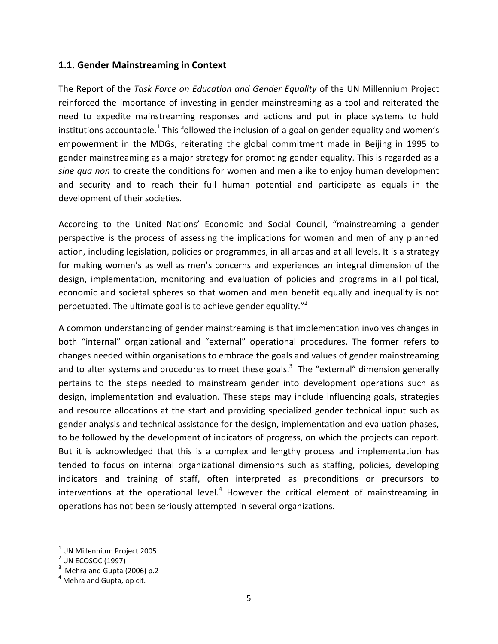## **1.1. Gender Mainstreaming in Context**

The Report of the *Task Force on Education and Gender Equality* of the UN Millennium Project reinforced the importance of investing in gender mainstreaming as a tool and reiterated the need to expedite mainstreaming responses and actions and put in place systems to hold institutions accountable.<sup>1</sup> This followed the inclusion of a goal on gender equality and women's empowerment in the MDGs, reiterating the global commitment made in Beijing in 1995 to gender mainstreaming as a major strategy for promoting gender equality. This is regarded as a *sine qua non* to create the conditions for women and men alike to enjoy human development and security and to reach their full human potential and participate as equals in the development of their societies.

According to the United Nations' Economic and Social Council, "mainstreaming a gender perspective is the process of assessing the implications for women and men of any planned action, including legislation, policies or programmes, in all areas and at all levels. It is a strategy for making women's as well as men's concerns and experiences an integral dimension of the design, implementation, monitoring and evaluation of policies and programs in all political, economic and societal spheres so that women and men benefit equally and inequality is not perpetuated. The ultimate goal is to achieve gender equality. $^{2}$ 

A common understanding of gender mainstreaming is that implementation involves changes in both "internal" organizational and "external" operational procedures. The former refers to changes needed within organisations to embrace the goals and values of gender mainstreaming and to alter systems and procedures to meet these goals.<sup>3</sup> The "external" dimension generally pertains to the steps needed to mainstream gender into development operations such as design, implementation and evaluation. These steps may include influencing goals, strategies and resource allocations at the start and providing specialized gender technical input such as gender analysis and technical assistance for the design, implementation and evaluation phases, to be followed by the development of indicators of progress, on which the projects can report. But it is acknowledged that this is a complex and lengthy process and implementation has tended to focus on internal organizational dimensions such as staffing, policies, developing indicators and training of staff, often interpreted as preconditions or precursors to interventions at the operational level.<sup>4</sup> However the critical element of mainstreaming in operations has not been seriously attempted in several organizations.

-

 $^{\rm 1}$  UN Millennium Project 2005

 $<sup>2</sup>$  UN ECOSOC (1997)</sup>

 $3$  Mehra and Gupta (2006) p.2

 $<sup>4</sup>$  Mehra and Gupta, op cit.</sup>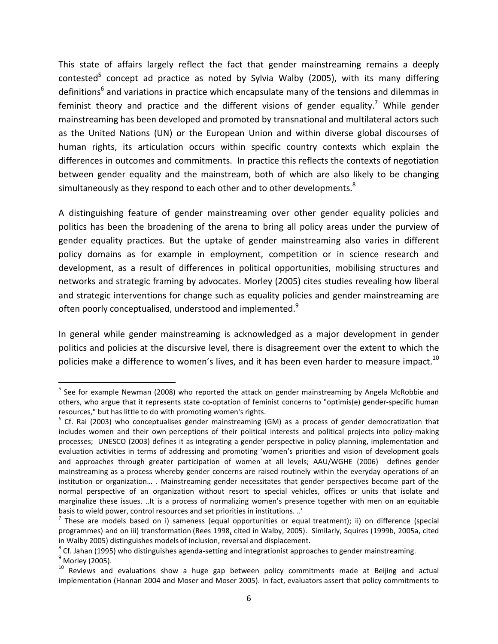This state of affairs largely reflect the fact that gender mainstreaming remains a deeply contested<sup>5</sup> concept ad practice as noted by Sylvia Walby (2005), with its many differing definitions<sup>6</sup> and variations in practice which encapsulate many of the tensions and dilemmas in feminist theory and practice and the different visions of gender equality.<sup>7</sup> While gender mainstreaming has been developed and promoted by transnational and multilateral actors such as the United Nations (UN) or the European Union and within diverse global discourses of human rights, its articulation occurs within specific country contexts which explain the differences in outcomes and commitments. In practice this reflects the contexts of negotiation between gender equality and the mainstream, both of which are also likely to be changing simultaneously as they respond to each other and to other developments. $8$ 

A distinguishing feature of gender mainstreaming over other gender equality policies and politics has been the broadening of the arena to bring all policy areas under the purview of gender equality practices. But the uptake of gender mainstreaming also varies in different policy domains as for example in employment, competition or in science research and development, as a result of differences in political opportunities, mobilising structures and networks and strategic framing by advocates. Morley (2005) cites studies revealing how liberal and strategic interventions for change such as equality policies and gender mainstreaming are often poorly conceptualised, understood and implemented.<sup>9</sup>

In general while gender mainstreaming is acknowledged as a major development in gender politics and policies at the discursive level, there is disagreement over the extent to which the policies make a difference to women's lives, and it has been even harder to measure impact.<sup>10</sup>

<u>.</u>

<sup>&</sup>lt;sup>5</sup> See for example Newman (2008) who reported the attack on gender mainstreaming by Angela McRobbie and others, who argue that it represents state co-optation of feminist concerns to "optimis(e) gender-specific human resources," but has little to do with promoting women's rights.

 $6$  Cf. Rai (2003) who conceptualises gender mainstreaming (GM) as a process of gender democratization that includes women and their own perceptions of their political interests and political projects into policy-making processes; UNESCO (2003) defines it as integrating a gender perspective in policy planning, implementation and evaluation activities in terms of addressing and promoting 'women's priorities and vision of development goals and approaches through greater participation of women at all levels; AAU/WGHE (2006) defines gender mainstreaming as a process whereby gender concerns are raised routinely within the everyday operations of an institution or organization… *.* Mainstreaming gender necessitates that gender perspectives become part of the normal perspective of an organization without resort to special vehicles, offices or units that isolate and marginalize these issues. ..It is a process of normalizing women's presence together with men on an equitable basis to wield power, control resources and set priorities in institutions. ..'

 $^7$  These are models based on i) sameness (equal opportunities or equal treatment); ii) on difference (special programmes) and on iii) transformation (Rees 1998, cited in Walby, 2005). Similarly, Squires (1999b, 2005a, cited in Walby 2005) distinguishes models of inclusion, reversal and displacement.

 $^8$  Cf. Jahan (1995) who distinguishes agenda-setting and integrationist approaches to gender mainstreaming.

<sup>&</sup>lt;sup>9</sup> Morley (2005). <sup>10</sup> Reviews and evaluations show a huge gap between policy commitments made at Beijing and actual implementation (Hannan 2004 and Moser and Moser 2005). In fact, evaluators assert that policy commitments to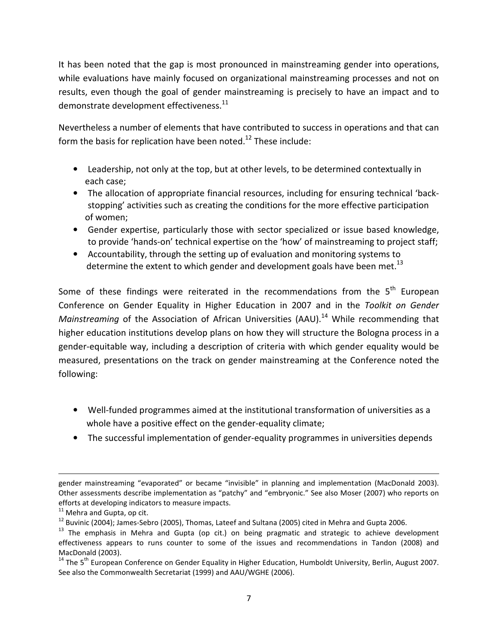It has been noted that the gap is most pronounced in mainstreaming gender into operations, while evaluations have mainly focused on organizational mainstreaming processes and not on results, even though the goal of gender mainstreaming is precisely to have an impact and to demonstrate development effectiveness. $^{11}$ 

Nevertheless a number of elements that have contributed to success in operations and that can form the basis for replication have been noted.<sup>12</sup> These include:

- Leadership, not only at the top, but at other levels, to be determined contextually in each case;
- The allocation of appropriate financial resources, including for ensuring technical 'backstopping' activities such as creating the conditions for the more effective participation of women;
- Gender expertise, particularly those with sector specialized or issue based knowledge, to provide 'hands-on' technical expertise on the 'how' of mainstreaming to project staff;
- Accountability, through the setting up of evaluation and monitoring systems to determine the extent to which gender and development goals have been met.<sup>13</sup>

Some of these findings were reiterated in the recommendations from the  $5<sup>th</sup>$  European Conference on Gender Equality in Higher Education in 2007 and in the *Toolkit on Gender Mainstreaming* of the Association of African Universities (AAU).<sup>14</sup> While recommending that higher education institutions develop plans on how they will structure the Bologna process in a gender-equitable way, including a description of criteria with which gender equality would be measured, presentations on the track on gender mainstreaming at the Conference noted the following:

- Well-funded programmes aimed at the institutional transformation of universities as a whole have a positive effect on the gender-equality climate;
- The successful implementation of gender-equality programmes in universities depends

<u>.</u>

gender mainstreaming "evaporated" or became "invisible" in planning and implementation (MacDonald 2003). Other assessments describe implementation as "patchy" and "embryonic." See also Moser (2007) who reports on efforts at developing indicators to measure impacts.

 $11$  Mehra and Gupta, op cit.

<sup>&</sup>lt;sup>12</sup> Buvinic (2004); James-Sebro (2005), Thomas, Lateef and Sultana (2005) cited in Mehra and Gupta 2006.

<sup>&</sup>lt;sup>13</sup> The emphasis in Mehra and Gupta (op cit.) on being pragmatic and strategic to achieve development effectiveness appears to runs counter to some of the issues and recommendations in Tandon (2008) and MacDonald (2003).

<sup>&</sup>lt;sup>14</sup> The 5<sup>th</sup> European Conference on Gender Equality in Higher Education, Humboldt University, Berlin, August 2007. See also the Commonwealth Secretariat (1999) and AAU/WGHE (2006).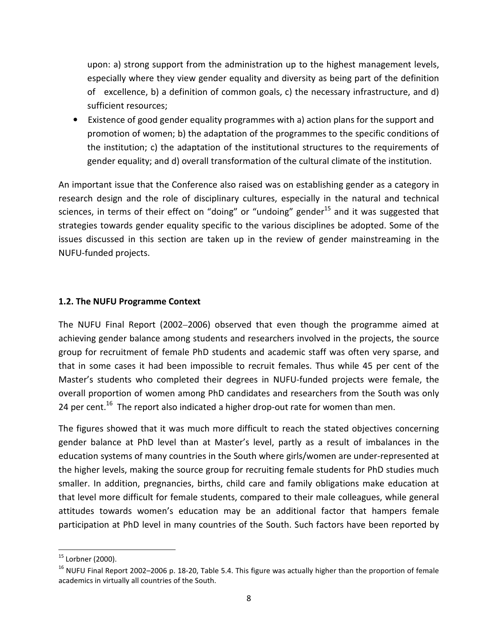upon: a) strong support from the administration up to the highest management levels, especially where they view gender equality and diversity as being part of the definition of excellence, b) a definition of common goals, c) the necessary infrastructure, and d) sufficient resources;

• Existence of good gender equality programmes with a) action plans for the support and promotion of women; b) the adaptation of the programmes to the specific conditions of the institution; c) the adaptation of the institutional structures to the requirements of gender equality; and d) overall transformation of the cultural climate of the institution.

An important issue that the Conference also raised was on establishing gender as a category in research design and the role of disciplinary cultures, especially in the natural and technical sciences, in terms of their effect on "doing" or "undoing" gender<sup>15</sup> and it was suggested that strategies towards gender equality specific to the various disciplines be adopted. Some of the issues discussed in this section are taken up in the review of gender mainstreaming in the NUFU-funded projects.

## **1.2. The NUFU Programme Context**

The NUFU Final Report (2002–2006) observed that even though the programme aimed at achieving gender balance among students and researchers involved in the projects, the source group for recruitment of female PhD students and academic staff was often very sparse, and that in some cases it had been impossible to recruit females. Thus while 45 per cent of the Master's students who completed their degrees in NUFU-funded projects were female, the overall proportion of women among PhD candidates and researchers from the South was only 24 per cent.<sup>16</sup> The report also indicated a higher drop-out rate for women than men.

The figures showed that it was much more difficult to reach the stated objectives concerning gender balance at PhD level than at Master's level, partly as a result of imbalances in the education systems of many countries in the South where girls/women are under-represented at the higher levels, making the source group for recruiting female students for PhD studies much smaller. In addition, pregnancies, births, child care and family obligations make education at that level more difficult for female students, compared to their male colleagues, while general attitudes towards women's education may be an additional factor that hampers female participation at PhD level in many countries of the South. Such factors have been reported by

-

 $15$  Lorbner (2000).

 $16$  NUFU Final Report 2002–2006 p. 18-20, Table 5.4. This figure was actually higher than the proportion of female academics in virtually all countries of the South.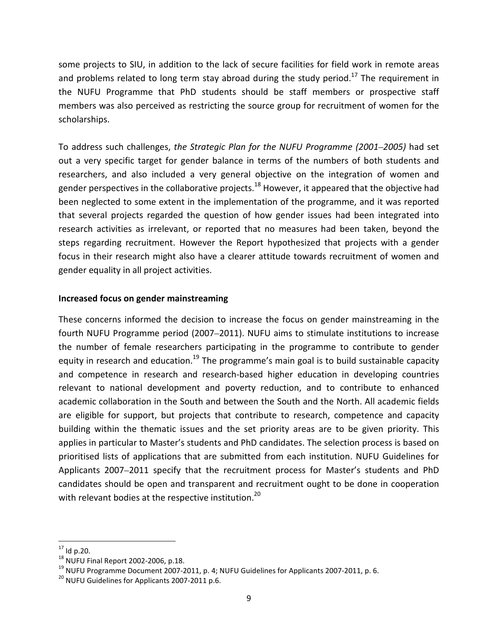some projects to SIU, in addition to the lack of secure facilities for field work in remote areas and problems related to long term stay abroad during the study period.<sup>17</sup> The requirement in the NUFU Programme that PhD students should be staff members or prospective staff members was also perceived as restricting the source group for recruitment of women for the scholarships.

To address such challenges, *the Strategic Plan for the NUFU Programme (2001*–*2005)* had set out a very specific target for gender balance in terms of the numbers of both students and researchers, and also included a very general objective on the integration of women and gender perspectives in the collaborative projects.<sup>18</sup> However, it appeared that the objective had been neglected to some extent in the implementation of the programme, and it was reported that several projects regarded the question of how gender issues had been integrated into research activities as irrelevant, or reported that no measures had been taken, beyond the steps regarding recruitment. However the Report hypothesized that projects with a gender focus in their research might also have a clearer attitude towards recruitment of women and gender equality in all project activities.

#### **Increased focus on gender mainstreaming**

These concerns informed the decision to increase the focus on gender mainstreaming in the fourth NUFU Programme period (2007–2011). NUFU aims to stimulate institutions to increase the number of female researchers participating in the programme to contribute to gender equity in research and education.<sup>19</sup> The programme's main goal is to build sustainable capacity and competence in research and research-based higher education in developing countries relevant to national development and poverty reduction, and to contribute to enhanced academic collaboration in the South and between the South and the North. All academic fields are eligible for support, but projects that contribute to research, competence and capacity building within the thematic issues and the set priority areas are to be given priority. This applies in particular to Master's students and PhD candidates. The selection process is based on prioritised lists of applications that are submitted from each institution. NUFU Guidelines for Applicants 2007–2011 specify that the recruitment process for Master's students and PhD candidates should be open and transparent and recruitment ought to be done in cooperation with relevant bodies at the respective institution.<sup>20</sup>

<sup>-</sup> $17$  Id p.20.

<sup>18</sup> NUFU Final Report 2002-2006, p.18.

 $19$  NUFU Programme Document 2007-2011, p. 4; NUFU Guidelines for Applicants 2007-2011, p. 6.

<sup>&</sup>lt;sup>20</sup> NUFU Guidelines for Applicants 2007-2011 p.6.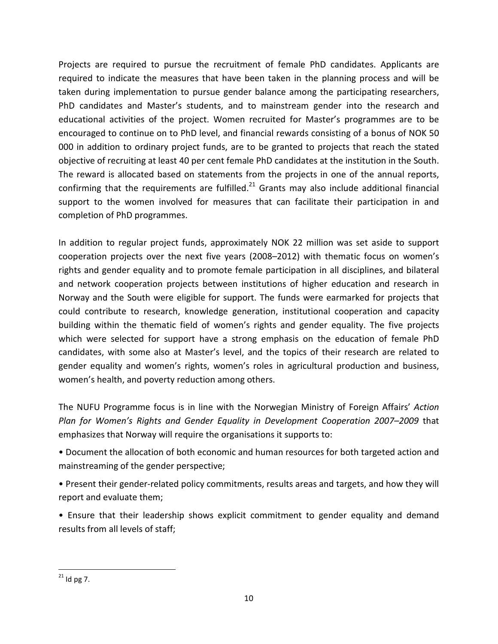Projects are required to pursue the recruitment of female PhD candidates. Applicants are required to indicate the measures that have been taken in the planning process and will be taken during implementation to pursue gender balance among the participating researchers, PhD candidates and Master's students, and to mainstream gender into the research and educational activities of the project. Women recruited for Master's programmes are to be encouraged to continue on to PhD level, and financial rewards consisting of a bonus of NOK 50 000 in addition to ordinary project funds, are to be granted to projects that reach the stated objective of recruiting at least 40 per cent female PhD candidates at the institution in the South. The reward is allocated based on statements from the projects in one of the annual reports, confirming that the requirements are fulfilled. $^{21}$  Grants may also include additional financial support to the women involved for measures that can facilitate their participation in and completion of PhD programmes.

In addition to regular project funds, approximately NOK 22 million was set aside to support cooperation projects over the next five years (2008–2012) with thematic focus on women's rights and gender equality and to promote female participation in all disciplines, and bilateral and network cooperation projects between institutions of higher education and research in Norway and the South were eligible for support. The funds were earmarked for projects that could contribute to research, knowledge generation, institutional cooperation and capacity building within the thematic field of women's rights and gender equality. The five projects which were selected for support have a strong emphasis on the education of female PhD candidates, with some also at Master's level, and the topics of their research are related to gender equality and women's rights, women's roles in agricultural production and business, women's health, and poverty reduction among others.

The NUFU Programme focus is in line with the Norwegian Ministry of Foreign Affairs' *Action Plan for Women's Rights and Gender Equality in Development Cooperation 2007–2009* that emphasizes that Norway will require the organisations it supports to:

• Document the allocation of both economic and human resources for both targeted action and mainstreaming of the gender perspective;

• Present their gender-related policy commitments, results areas and targets, and how they will report and evaluate them;

• Ensure that their leadership shows explicit commitment to gender equality and demand results from all levels of staff;

-

 $^{21}$  Id pg 7.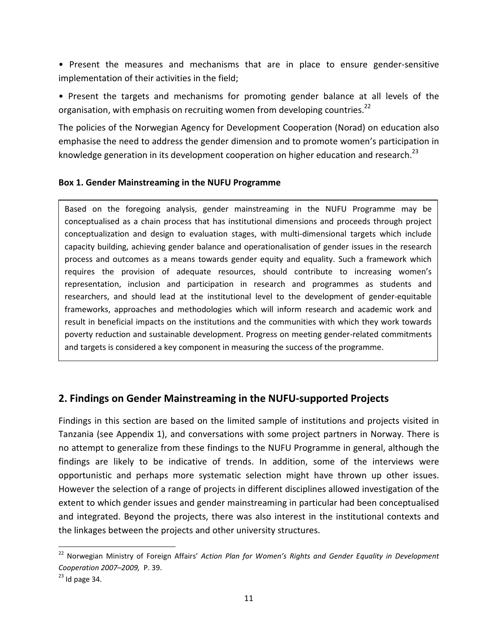• Present the measures and mechanisms that are in place to ensure gender-sensitive implementation of their activities in the field;

• Present the targets and mechanisms for promoting gender balance at all levels of the organisation, with emphasis on recruiting women from developing countries.<sup>22</sup>

The policies of the Norwegian Agency for Development Cooperation (Norad) on education also emphasise the need to address the gender dimension and to promote women's participation in knowledge generation in its development cooperation on higher education and research.<sup>23</sup>

#### **Box 1. Gender Mainstreaming in the NUFU Programme**

conceptualization and design to evaluation stages, with multi-dimensional targets which include Based on the foregoing analysis, gender mainstreaming in the NUFU Programme may be conceptualised as a chain process that has institutional dimensions and proceeds through project capacity building, achieving gender balance and operationalisation of gender issues in the research process and outcomes as a means towards gender equity and equality. Such a framework which requires the provision of adequate resources, should contribute to increasing women's representation, inclusion and participation in research and programmes as students and researchers, and should lead at the institutional level to the development of gender-equitable frameworks, approaches and methodologies which will inform research and academic work and result in beneficial impacts on the institutions and the communities with which they work towards poverty reduction and sustainable development. Progress on meeting gender-related commitments and targets is considered a key component in measuring the success of the programme.

## **2. Findings on Gender Mainstreaming in the NUFU-supported Projects**

Findings in this section are based on the limited sample of institutions and projects visited in Tanzania (see Appendix 1), and conversations with some project partners in Norway. There is no attempt to generalize from these findings to the NUFU Programme in general, although the findings are likely to be indicative of trends. In addition, some of the interviews were opportunistic and perhaps more systematic selection might have thrown up other issues. However the selection of a range of projects in different disciplines allowed investigation of the extent to which gender issues and gender mainstreaming in particular had been conceptualised and integrated. Beyond the projects, there was also interest in the institutional contexts and the linkages between the projects and other university structures.

-

 $\mathbf{I}$ 

<sup>22</sup> Norwegian Ministry of Foreign Affairs' *Action Plan for Women's Rights and Gender Equality in Development Cooperation 2007–2009,* P. 39.

 $23$  Id page 34.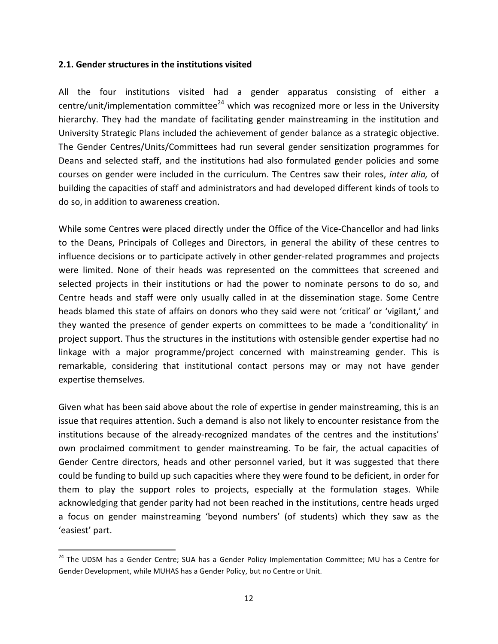#### **2.1. Gender structures in the institutions visited**

-

All the four institutions visited had a gender apparatus consisting of either a centre/unit/implementation committee<sup>24</sup> which was recognized more or less in the University hierarchy. They had the mandate of facilitating gender mainstreaming in the institution and University Strategic Plans included the achievement of gender balance as a strategic objective. The Gender Centres/Units/Committees had run several gender sensitization programmes for Deans and selected staff, and the institutions had also formulated gender policies and some courses on gender were included in the curriculum. The Centres saw their roles, *inter alia,* of building the capacities of staff and administrators and had developed different kinds of tools to do so, in addition to awareness creation.

While some Centres were placed directly under the Office of the Vice-Chancellor and had links to the Deans, Principals of Colleges and Directors, in general the ability of these centres to influence decisions or to participate actively in other gender-related programmes and projects were limited. None of their heads was represented on the committees that screened and selected projects in their institutions or had the power to nominate persons to do so, and Centre heads and staff were only usually called in at the dissemination stage. Some Centre heads blamed this state of affairs on donors who they said were not 'critical' or 'vigilant,' and they wanted the presence of gender experts on committees to be made a 'conditionality' in project support. Thus the structures in the institutions with ostensible gender expertise had no linkage with a major programme/project concerned with mainstreaming gender. This is remarkable, considering that institutional contact persons may or may not have gender expertise themselves.

Given what has been said above about the role of expertise in gender mainstreaming, this is an issue that requires attention. Such a demand is also not likely to encounter resistance from the institutions because of the already-recognized mandates of the centres and the institutions' own proclaimed commitment to gender mainstreaming. To be fair, the actual capacities of Gender Centre directors, heads and other personnel varied, but it was suggested that there could be funding to build up such capacities where they were found to be deficient, in order for them to play the support roles to projects, especially at the formulation stages. While acknowledging that gender parity had not been reached in the institutions, centre heads urged a focus on gender mainstreaming 'beyond numbers' (of students) which they saw as the 'easiest' part.

<sup>&</sup>lt;sup>24</sup> The UDSM has a Gender Centre; SUA has a Gender Policy Implementation Committee; MU has a Centre for Gender Development, while MUHAS has a Gender Policy, but no Centre or Unit.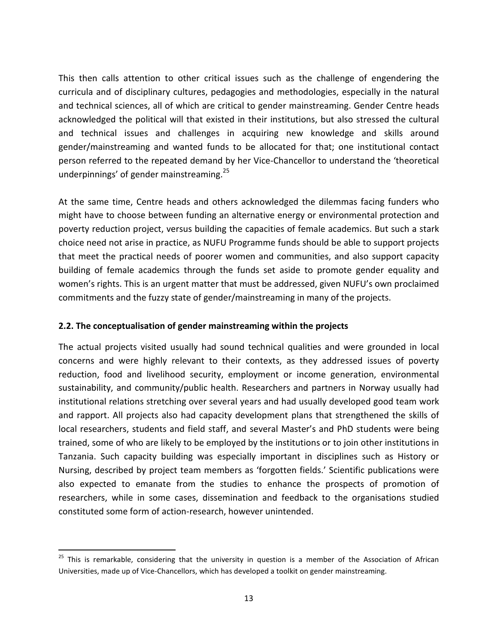This then calls attention to other critical issues such as the challenge of engendering the curricula and of disciplinary cultures, pedagogies and methodologies, especially in the natural and technical sciences, all of which are critical to gender mainstreaming. Gender Centre heads acknowledged the political will that existed in their institutions, but also stressed the cultural and technical issues and challenges in acquiring new knowledge and skills around gender/mainstreaming and wanted funds to be allocated for that; one institutional contact person referred to the repeated demand by her Vice-Chancellor to understand the 'theoretical underpinnings' of gender mainstreaming.<sup>25</sup>

At the same time, Centre heads and others acknowledged the dilemmas facing funders who might have to choose between funding an alternative energy or environmental protection and poverty reduction project, versus building the capacities of female academics. But such a stark choice need not arise in practice, as NUFU Programme funds should be able to support projects that meet the practical needs of poorer women and communities, and also support capacity building of female academics through the funds set aside to promote gender equality and women's rights. This is an urgent matter that must be addressed, given NUFU's own proclaimed commitments and the fuzzy state of gender/mainstreaming in many of the projects.

## **2.2. The conceptualisation of gender mainstreaming within the projects**

-

The actual projects visited usually had sound technical qualities and were grounded in local concerns and were highly relevant to their contexts, as they addressed issues of poverty reduction, food and livelihood security, employment or income generation, environmental sustainability, and community/public health. Researchers and partners in Norway usually had institutional relations stretching over several years and had usually developed good team work and rapport. All projects also had capacity development plans that strengthened the skills of local researchers, students and field staff, and several Master's and PhD students were being trained, some of who are likely to be employed by the institutions or to join other institutions in Tanzania. Such capacity building was especially important in disciplines such as History or Nursing, described by project team members as 'forgotten fields.' Scientific publications were also expected to emanate from the studies to enhance the prospects of promotion of researchers, while in some cases, dissemination and feedback to the organisations studied constituted some form of action-research, however unintended.

<sup>&</sup>lt;sup>25</sup> This is remarkable, considering that the university in question is a member of the Association of African Universities, made up of Vice-Chancellors, which has developed a toolkit on gender mainstreaming.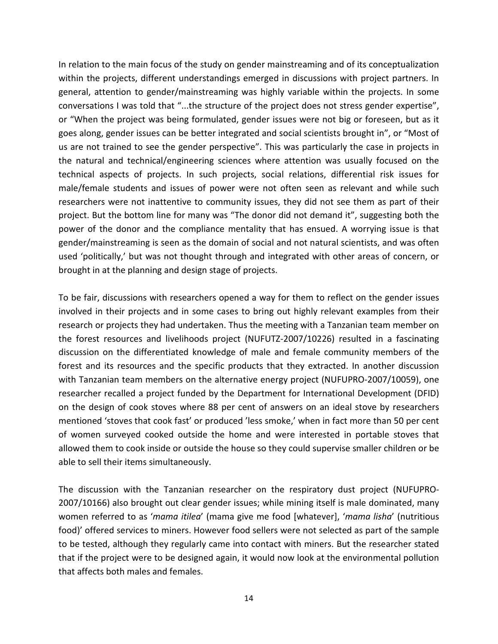In relation to the main focus of the study on gender mainstreaming and of its conceptualization within the projects, different understandings emerged in discussions with project partners. In general, attention to gender/mainstreaming was highly variable within the projects. In some conversations I was told that "...the structure of the project does not stress gender expertise", or "When the project was being formulated, gender issues were not big or foreseen, but as it goes along, gender issues can be better integrated and social scientists brought in", or "Most of us are not trained to see the gender perspective". This was particularly the case in projects in the natural and technical/engineering sciences where attention was usually focused on the technical aspects of projects. In such projects, social relations, differential risk issues for male/female students and issues of power were not often seen as relevant and while such researchers were not inattentive to community issues, they did not see them as part of their project. But the bottom line for many was "The donor did not demand it", suggesting both the power of the donor and the compliance mentality that has ensued. A worrying issue is that gender/mainstreaming is seen as the domain of social and not natural scientists, and was often used 'politically,' but was not thought through and integrated with other areas of concern, or brought in at the planning and design stage of projects.

To be fair, discussions with researchers opened a way for them to reflect on the gender issues involved in their projects and in some cases to bring out highly relevant examples from their research or projects they had undertaken. Thus the meeting with a Tanzanian team member on the forest resources and livelihoods project (NUFUTZ-2007/10226) resulted in a fascinating discussion on the differentiated knowledge of male and female community members of the forest and its resources and the specific products that they extracted. In another discussion with Tanzanian team members on the alternative energy project (NUFUPRO-2007/10059), one researcher recalled a project funded by the Department for International Development (DFID) on the design of cook stoves where 88 per cent of answers on an ideal stove by researchers mentioned 'stoves that cook fast' or produced 'less smoke,' when in fact more than 50 per cent of women surveyed cooked outside the home and were interested in portable stoves that allowed them to cook inside or outside the house so they could supervise smaller children or be able to sell their items simultaneously.

The discussion with the Tanzanian researcher on the respiratory dust project (NUFUPRO-2007/10166) also brought out clear gender issues; while mining itself is male dominated, many women referred to as '*mama itilea*' (mama give me food [whatever], '*mama lisha*' (nutritious food)' offered services to miners. However food sellers were not selected as part of the sample to be tested, although they regularly came into contact with miners. But the researcher stated that if the project were to be designed again, it would now look at the environmental pollution that affects both males and females.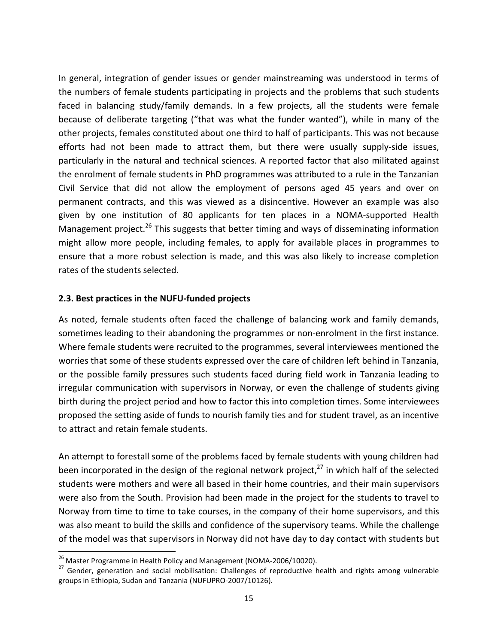In general, integration of gender issues or gender mainstreaming was understood in terms of the numbers of female students participating in projects and the problems that such students faced in balancing study/family demands. In a few projects, all the students were female because of deliberate targeting ("that was what the funder wanted"), while in many of the other projects, females constituted about one third to half of participants. This was not because efforts had not been made to attract them, but there were usually supply-side issues, particularly in the natural and technical sciences. A reported factor that also militated against the enrolment of female students in PhD programmes was attributed to a rule in the Tanzanian Civil Service that did not allow the employment of persons aged 45 years and over on permanent contracts, and this was viewed as a disincentive. However an example was also given by one institution of 80 applicants for ten places in a NOMA-supported Health Management project.<sup>26</sup> This suggests that better timing and ways of disseminating information might allow more people, including females, to apply for available places in programmes to ensure that a more robust selection is made, and this was also likely to increase completion rates of the students selected.

#### **2.3. Best practices in the NUFU-funded projects**

As noted, female students often faced the challenge of balancing work and family demands, sometimes leading to their abandoning the programmes or non-enrolment in the first instance. Where female students were recruited to the programmes, several interviewees mentioned the worries that some of these students expressed over the care of children left behind in Tanzania, or the possible family pressures such students faced during field work in Tanzania leading to irregular communication with supervisors in Norway, or even the challenge of students giving birth during the project period and how to factor this into completion times. Some interviewees proposed the setting aside of funds to nourish family ties and for student travel, as an incentive to attract and retain female students.

An attempt to forestall some of the problems faced by female students with young children had been incorporated in the design of the regional network project, $^{27}$  in which half of the selected students were mothers and were all based in their home countries, and their main supervisors were also from the South. Provision had been made in the project for the students to travel to Norway from time to time to take courses, in the company of their home supervisors, and this was also meant to build the skills and confidence of the supervisory teams. While the challenge of the model was that supervisors in Norway did not have day to day contact with students but

<u>.</u>

<sup>&</sup>lt;sup>26</sup> Master Programme in Health Policy and Management (NOMA-2006/10020).

<sup>&</sup>lt;sup>27</sup> Gender, generation and social mobilisation: Challenges of reproductive health and rights among vulnerable groups in Ethiopia, Sudan and Tanzania (NUFUPRO-2007/10126).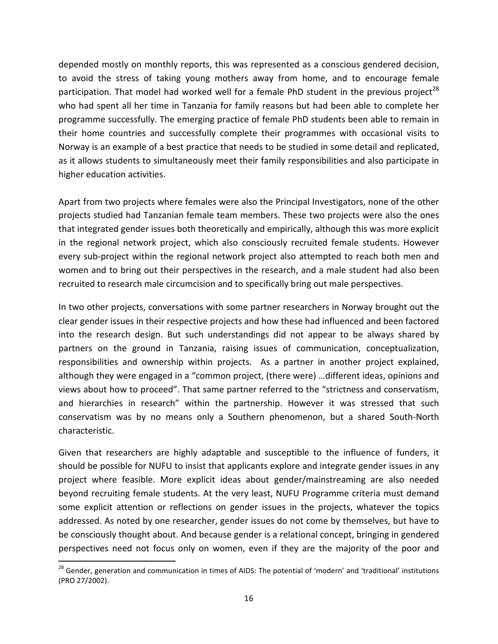depended mostly on monthly reports, this was represented as a conscious gendered decision, to avoid the stress of taking young mothers away from home, and to encourage female participation. That model had worked well for a female PhD student in the previous project<sup>28</sup> who had spent all her time in Tanzania for family reasons but had been able to complete her programme successfully. The emerging practice of female PhD students been able to remain in their home countries and successfully complete their programmes with occasional visits to Norway is an example of a best practice that needs to be studied in some detail and replicated, as it allows students to simultaneously meet their family responsibilities and also participate in higher education activities.

Apart from two projects where females were also the Principal Investigators, none of the other projects studied had Tanzanian female team members. These two projects were also the ones that integrated gender issues both theoretically and empirically, although this was more explicit in the regional network project, which also consciously recruited female students. However every sub-project within the regional network project also attempted to reach both men and women and to bring out their perspectives in the research, and a male student had also been recruited to research male circumcision and to specifically bring out male perspectives.

In two other projects, conversations with some partner researchers in Norway brought out the clear gender issues in their respective projects and how these had influenced and been factored into the research design. But such understandings did not appear to be always shared by partners on the ground in Tanzania, raising issues of communication, conceptualization, responsibilities and ownership within projects. As a partner in another project explained, although they were engaged in a "common project, (there were) …different ideas, opinions and views about how to proceed". That same partner referred to the "strictness and conservatism, and hierarchies in research" within the partnership. However it was stressed that such conservatism was by no means only a Southern phenomenon, but a shared South-North characteristic.

Given that researchers are highly adaptable and susceptible to the influence of funders, it should be possible for NUFU to insist that applicants explore and integrate gender issues in any project where feasible. More explicit ideas about gender/mainstreaming are also needed beyond recruiting female students. At the very least, NUFU Programme criteria must demand some explicit attention or reflections on gender issues in the projects, whatever the topics addressed. As noted by one researcher, gender issues do not come by themselves, but have to be consciously thought about. And because gender is a relational concept, bringing in gendered perspectives need not focus only on women, even if they are the majority of the poor and

<u>.</u>

<sup>&</sup>lt;sup>28</sup> Gender, generation and communication in times of AIDS: The potential of 'modern' and 'traditional' institutions (PRO 27/2002).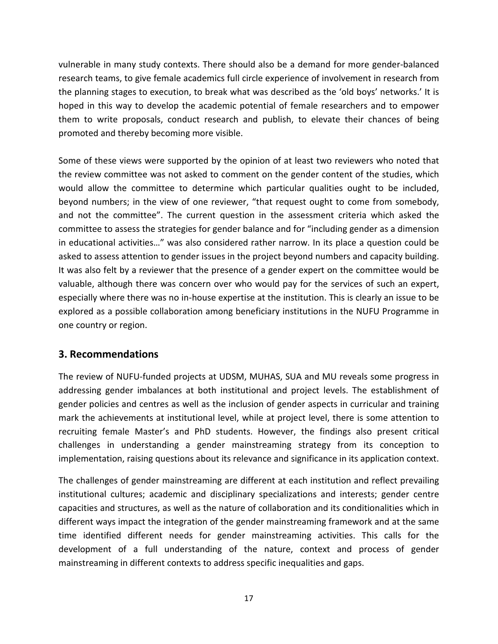vulnerable in many study contexts. There should also be a demand for more gender-balanced research teams, to give female academics full circle experience of involvement in research from the planning stages to execution, to break what was described as the 'old boys' networks.' It is hoped in this way to develop the academic potential of female researchers and to empower them to write proposals, conduct research and publish, to elevate their chances of being promoted and thereby becoming more visible.

Some of these views were supported by the opinion of at least two reviewers who noted that the review committee was not asked to comment on the gender content of the studies, which would allow the committee to determine which particular qualities ought to be included, beyond numbers; in the view of one reviewer, "that request ought to come from somebody, and not the committee". The current question in the assessment criteria which asked the committee to assess the strategies for gender balance and for "including gender as a dimension in educational activities…" was also considered rather narrow. In its place a question could be asked to assess attention to gender issues in the project beyond numbers and capacity building. It was also felt by a reviewer that the presence of a gender expert on the committee would be valuable, although there was concern over who would pay for the services of such an expert, especially where there was no in-house expertise at the institution. This is clearly an issue to be explored as a possible collaboration among beneficiary institutions in the NUFU Programme in one country or region.

# **3. Recommendations**

The review of NUFU-funded projects at UDSM, MUHAS, SUA and MU reveals some progress in addressing gender imbalances at both institutional and project levels. The establishment of gender policies and centres as well as the inclusion of gender aspects in curricular and training mark the achievements at institutional level, while at project level, there is some attention to recruiting female Master's and PhD students. However, the findings also present critical challenges in understanding a gender mainstreaming strategy from its conception to implementation, raising questions about its relevance and significance in its application context.

The challenges of gender mainstreaming are different at each institution and reflect prevailing institutional cultures; academic and disciplinary specializations and interests; gender centre capacities and structures, as well as the nature of collaboration and its conditionalities which in different ways impact the integration of the gender mainstreaming framework and at the same time identified different needs for gender mainstreaming activities. This calls for the development of a full understanding of the nature, context and process of gender mainstreaming in different contexts to address specific inequalities and gaps.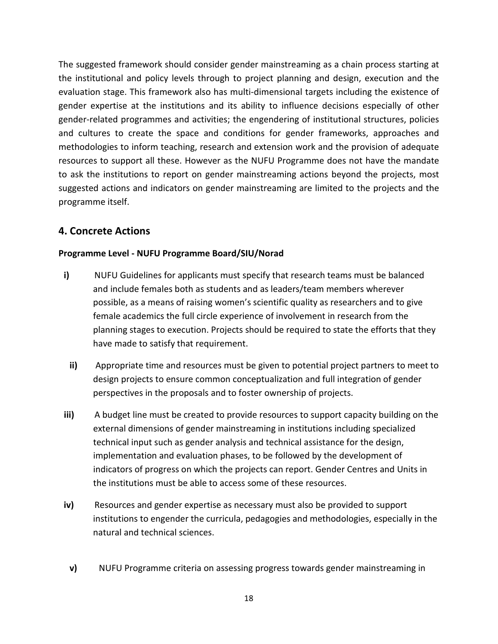The suggested framework should consider gender mainstreaming as a chain process starting at the institutional and policy levels through to project planning and design, execution and the evaluation stage. This framework also has multi-dimensional targets including the existence of gender expertise at the institutions and its ability to influence decisions especially of other gender-related programmes and activities; the engendering of institutional structures, policies and cultures to create the space and conditions for gender frameworks, approaches and methodologies to inform teaching, research and extension work and the provision of adequate resources to support all these. However as the NUFU Programme does not have the mandate to ask the institutions to report on gender mainstreaming actions beyond the projects, most suggested actions and indicators on gender mainstreaming are limited to the projects and the programme itself.

## **4. Concrete Actions**

#### **Programme Level - NUFU Programme Board/SIU/Norad**

- **i)** NUFU Guidelines for applicants must specify that research teams must be balanced and include females both as students and as leaders/team members wherever possible, as a means of raising women's scientific quality as researchers and to give female academics the full circle experience of involvement in research from the planning stages to execution. Projects should be required to state the efforts that they have made to satisfy that requirement.
	- **ii)** Appropriate time and resources must be given to potential project partners to meet to design projects to ensure common conceptualization and full integration of gender perspectives in the proposals and to foster ownership of projects.
- **iii)** A budget line must be created to provide resources to support capacity building on the external dimensions of gender mainstreaming in institutions including specialized technical input such as gender analysis and technical assistance for the design, implementation and evaluation phases, to be followed by the development of indicators of progress on which the projects can report. Gender Centres and Units in the institutions must be able to access some of these resources.
- **iv)** Resources and gender expertise as necessary must also be provided to support institutions to engender the curricula, pedagogies and methodologies, especially in the natural and technical sciences.
	- **v)** NUFU Programme criteria on assessing progress towards gender mainstreaming in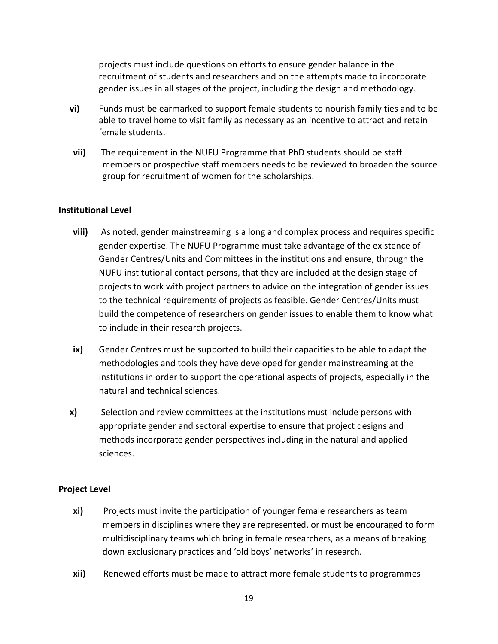projects must include questions on efforts to ensure gender balance in the recruitment of students and researchers and on the attempts made to incorporate gender issues in all stages of the project, including the design and methodology.

- **vi)** Funds must be earmarked to support female students to nourish family ties and to be able to travel home to visit family as necessary as an incentive to attract and retain female students.
- **vii)** The requirement in the NUFU Programme that PhD students should be staff members or prospective staff members needs to be reviewed to broaden the source group for recruitment of women for the scholarships.

## **Institutional Level**

- **viii)** As noted, gender mainstreaming is a long and complex process and requires specific gender expertise. The NUFU Programme must take advantage of the existence of Gender Centres/Units and Committees in the institutions and ensure, through the NUFU institutional contact persons, that they are included at the design stage of projects to work with project partners to advice on the integration of gender issues to the technical requirements of projects as feasible. Gender Centres/Units must build the competence of researchers on gender issues to enable them to know what to include in their research projects.
- **ix)** Gender Centres must be supported to build their capacities to be able to adapt the methodologies and tools they have developed for gender mainstreaming at the institutions in order to support the operational aspects of projects, especially in the natural and technical sciences.
- **x)** Selection and review committees at the institutions must include persons with appropriate gender and sectoral expertise to ensure that project designs and methods incorporate gender perspectives including in the natural and applied sciences.

#### **Project Level**

- **xi)** Projects must invite the participation of younger female researchers as team members in disciplines where they are represented, or must be encouraged to form multidisciplinary teams which bring in female researchers, as a means of breaking down exclusionary practices and 'old boys' networks' in research.
- **xii)** Renewed efforts must be made to attract more female students to programmes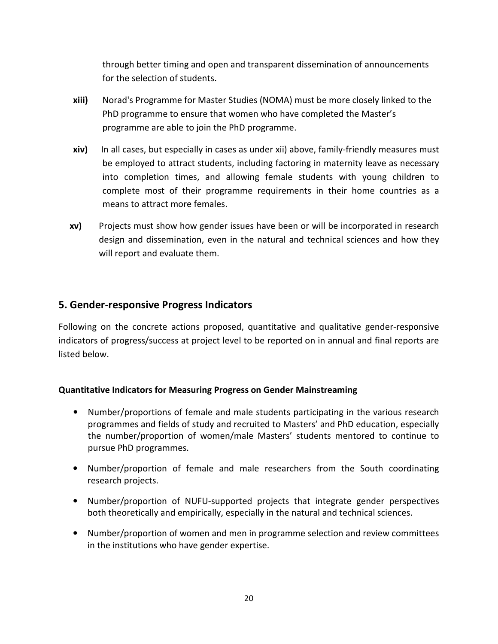through better timing and open and transparent dissemination of announcements for the selection of students.

- **xiii)** Norad's Programme for Master Studies (NOMA) must be more closely linked to the PhD programme to ensure that women who have completed the Master's programme are able to join the PhD programme.
- **xiv)** In all cases, but especially in cases as under xii) above, family-friendly measures must be employed to attract students, including factoring in maternity leave as necessary into completion times, and allowing female students with young children to complete most of their programme requirements in their home countries as a means to attract more females.
- **xv)** Projects must show how gender issues have been or will be incorporated in research design and dissemination, even in the natural and technical sciences and how they will report and evaluate them.

## **5. Gender-responsive Progress Indicators**

Following on the concrete actions proposed, quantitative and qualitative gender-responsive indicators of progress/success at project level to be reported on in annual and final reports are listed below.

## **Quantitative Indicators for Measuring Progress on Gender Mainstreaming**

- Number/proportions of female and male students participating in the various research programmes and fields of study and recruited to Masters' and PhD education, especially the number/proportion of women/male Masters' students mentored to continue to pursue PhD programmes.
- Number/proportion of female and male researchers from the South coordinating research projects.
- Number/proportion of NUFU-supported projects that integrate gender perspectives both theoretically and empirically, especially in the natural and technical sciences.
- Number/proportion of women and men in programme selection and review committees in the institutions who have gender expertise.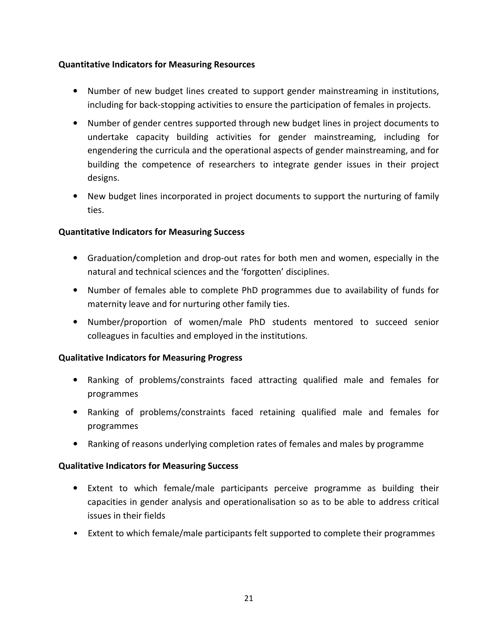## **Quantitative Indicators for Measuring Resources**

- Number of new budget lines created to support gender mainstreaming in institutions, including for back-stopping activities to ensure the participation of females in projects.
- Number of gender centres supported through new budget lines in project documents to undertake capacity building activities for gender mainstreaming, including for engendering the curricula and the operational aspects of gender mainstreaming, and for building the competence of researchers to integrate gender issues in their project designs.
- New budget lines incorporated in project documents to support the nurturing of family ties.

## **Quantitative Indicators for Measuring Success**

- Graduation/completion and drop-out rates for both men and women, especially in the natural and technical sciences and the 'forgotten' disciplines.
- Number of females able to complete PhD programmes due to availability of funds for maternity leave and for nurturing other family ties.
- Number/proportion of women/male PhD students mentored to succeed senior colleagues in faculties and employed in the institutions.

## **Qualitative Indicators for Measuring Progress**

- Ranking of problems/constraints faced attracting qualified male and females for programmes
- Ranking of problems/constraints faced retaining qualified male and females for programmes
- Ranking of reasons underlying completion rates of females and males by programme

## **Qualitative Indicators for Measuring Success**

- Extent to which female/male participants perceive programme as building their capacities in gender analysis and operationalisation so as to be able to address critical issues in their fields
- Extent to which female/male participants felt supported to complete their programmes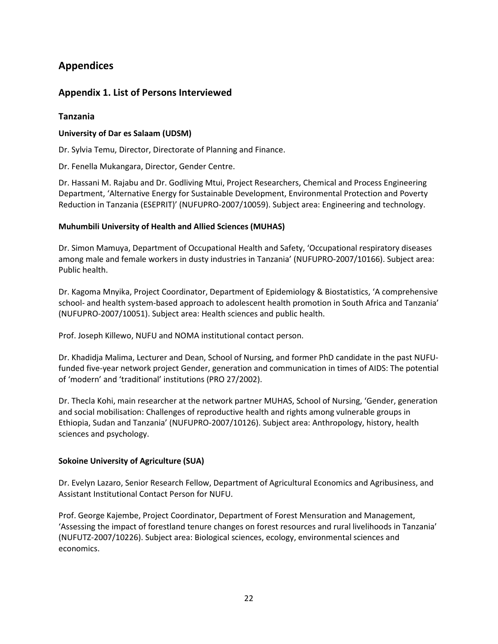# **Appendices**

## **Appendix 1. List of Persons Interviewed**

## **Tanzania**

#### **University of Dar es Salaam (UDSM)**

Dr. Sylvia Temu, Director, Directorate of Planning and Finance.

Dr. Fenella Mukangara, Director, Gender Centre.

Dr. Hassani M. Rajabu and Dr. Godliving Mtui, Project Researchers, Chemical and Process Engineering Department, 'Alternative Energy for Sustainable Development, Environmental Protection and Poverty Reduction in Tanzania (ESEPRIT)' (NUFUPRO-2007/10059). Subject area: Engineering and technology.

#### **Muhumbili University of Health and Allied Sciences (MUHAS)**

Dr. Simon Mamuya, Department of Occupational Health and Safety, 'Occupational respiratory diseases among male and female workers in dusty industries in Tanzania' (NUFUPRO-2007/10166). Subject area: Public health.

Dr. Kagoma Mnyika, Project Coordinator, Department of Epidemiology & Biostatistics, 'A comprehensive school- and health system-based approach to adolescent health promotion in South Africa and Tanzania' (NUFUPRO-2007/10051). Subject area: Health sciences and public health.

Prof. Joseph Killewo, NUFU and NOMA institutional contact person.

Dr. Khadidja Malima, Lecturer and Dean, School of Nursing, and former PhD candidate in the past NUFUfunded five-year network project Gender, generation and communication in times of AIDS: The potential of 'modern' and 'traditional' institutions (PRO 27/2002).

Dr. Thecla Kohi, main researcher at the network partner MUHAS, School of Nursing, 'Gender, generation and social mobilisation: Challenges of reproductive health and rights among vulnerable groups in Ethiopia, Sudan and Tanzania' (NUFUPRO-2007/10126). Subject area: Anthropology, history, health sciences and psychology.

#### **Sokoine University of Agriculture (SUA)**

Dr. Evelyn Lazaro, Senior Research Fellow, Department of Agricultural Economics and Agribusiness, and Assistant Institutional Contact Person for NUFU.

Prof. George Kajembe, Project Coordinator, Department of Forest Mensuration and Management, 'Assessing the impact of forestland tenure changes on forest resources and rural livelihoods in Tanzania' (NUFUTZ-2007/10226). Subject area: Biological sciences, ecology, environmental sciences and economics.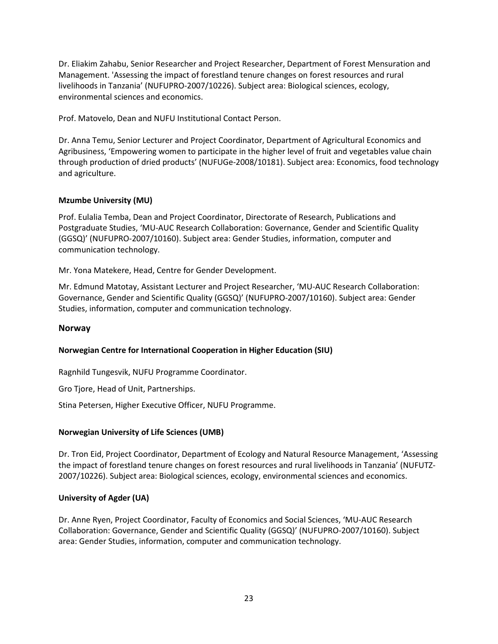Dr. Eliakim Zahabu, Senior Researcher and Project Researcher, Department of Forest Mensuration and Management. 'Assessing the impact of forestland tenure changes on forest resources and rural livelihoods in Tanzania' (NUFUPRO-2007/10226). Subject area: Biological sciences, ecology, environmental sciences and economics.

Prof. Matovelo, Dean and NUFU Institutional Contact Person.

Dr. Anna Temu, Senior Lecturer and Project Coordinator, Department of Agricultural Economics and Agribusiness, 'Empowering women to participate in the higher level of fruit and vegetables value chain through production of dried products' (NUFUGe-2008/10181). Subject area: Economics, food technology and agriculture.

#### **Mzumbe University (MU)**

Prof. Eulalia Temba, Dean and Project Coordinator, Directorate of Research, Publications and Postgraduate Studies, 'MU-AUC Research Collaboration: Governance, Gender and Scientific Quality (GGSQ)' (NUFUPRO-2007/10160). Subject area: Gender Studies, information, computer and communication technology.

Mr. Yona Matekere, Head, Centre for Gender Development.

Mr. Edmund Matotay, Assistant Lecturer and Project Researcher, 'MU-AUC Research Collaboration: Governance, Gender and Scientific Quality (GGSQ)' (NUFUPRO-2007/10160). Subject area: Gender Studies, information, computer and communication technology.

#### **Norway**

#### **Norwegian Centre for International Cooperation in Higher Education (SIU)**

Ragnhild Tungesvik, NUFU Programme Coordinator.

Gro Tjore, Head of Unit, Partnerships.

Stina Petersen, Higher Executive Officer, NUFU Programme.

#### **Norwegian University of Life Sciences (UMB)**

Dr. Tron Eid, Project Coordinator, Department of Ecology and Natural Resource Management, 'Assessing the impact of forestland tenure changes on forest resources and rural livelihoods in Tanzania' (NUFUTZ-2007/10226). Subject area: Biological sciences, ecology, environmental sciences and economics.

#### **University of Agder (UA)**

Dr. Anne Ryen, Project Coordinator, Faculty of Economics and Social Sciences, 'MU-AUC Research Collaboration: Governance, Gender and Scientific Quality (GGSQ)' (NUFUPRO-2007/10160). Subject area: Gender Studies, information, computer and communication technology.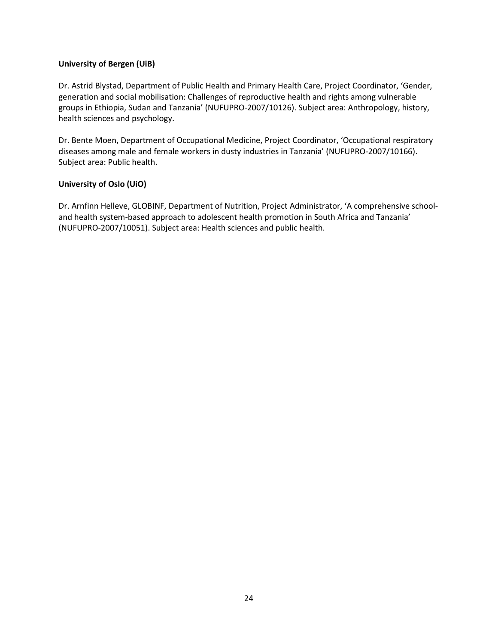#### **University of Bergen (UiB)**

Dr. Astrid Blystad, Department of Public Health and Primary Health Care, Project Coordinator, 'Gender, generation and social mobilisation: Challenges of reproductive health and rights among vulnerable groups in Ethiopia, Sudan and Tanzania' (NUFUPRO-2007/10126). Subject area: Anthropology, history, health sciences and psychology.

Dr. Bente Moen, Department of Occupational Medicine, Project Coordinator, 'Occupational respiratory diseases among male and female workers in dusty industries in Tanzania' (NUFUPRO-2007/10166). Subject area: Public health.

#### **University of Oslo (UiO)**

Dr. Arnfinn Helleve, GLOBINF, Department of Nutrition, Project Administrator, 'A comprehensive schooland health system-based approach to adolescent health promotion in South Africa and Tanzania' (NUFUPRO-2007/10051). Subject area: Health sciences and public health.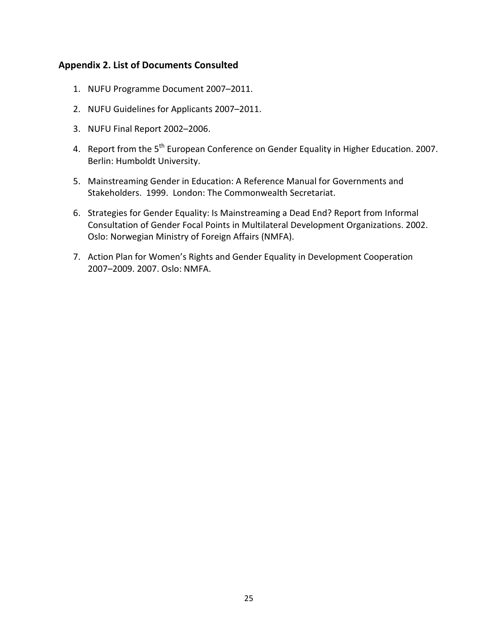## **Appendix 2. List of Documents Consulted**

- 1. NUFU Programme Document 2007–2011.
- 2. NUFU Guidelines for Applicants 2007–2011.
- 3. NUFU Final Report 2002–2006.
- 4. Report from the 5<sup>th</sup> European Conference on Gender Equality in Higher Education. 2007. Berlin: Humboldt University.
- 5. Mainstreaming Gender in Education: A Reference Manual for Governments and Stakeholders. 1999. London: The Commonwealth Secretariat.
- 6. Strategies for Gender Equality: Is Mainstreaming a Dead End? Report from Informal Consultation of Gender Focal Points in Multilateral Development Organizations. 2002. Oslo: Norwegian Ministry of Foreign Affairs (NMFA).
- 7. Action Plan for Women's Rights and Gender Equality in Development Cooperation 2007–2009. 2007. Oslo: NMFA.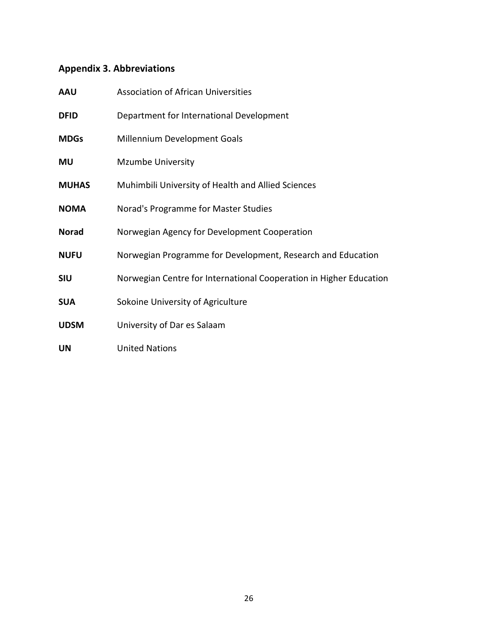# **Appendix 3. Abbreviations**

| <b>AAU</b>   | <b>Association of African Universities</b>                         |
|--------------|--------------------------------------------------------------------|
| <b>DFID</b>  | Department for International Development                           |
| <b>MDGs</b>  | Millennium Development Goals                                       |
| <b>MU</b>    | <b>Mzumbe University</b>                                           |
| <b>MUHAS</b> | Muhimbili University of Health and Allied Sciences                 |
| <b>NOMA</b>  | Norad's Programme for Master Studies                               |
| <b>Norad</b> | Norwegian Agency for Development Cooperation                       |
| <b>NUFU</b>  | Norwegian Programme for Development, Research and Education        |
| <b>SIU</b>   | Norwegian Centre for International Cooperation in Higher Education |
| <b>SUA</b>   | Sokoine University of Agriculture                                  |
| <b>UDSM</b>  | University of Dar es Salaam                                        |
| <b>UN</b>    | <b>United Nations</b>                                              |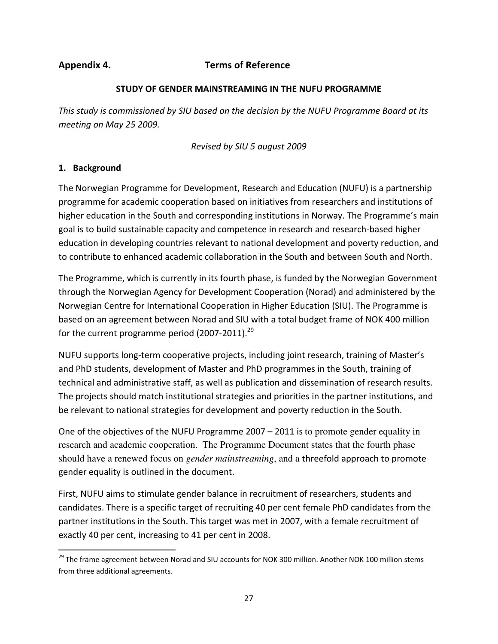## **Appendix 4. Terms of Reference**

#### **STUDY OF GENDER MAINSTREAMING IN THE NUFU PROGRAMME**

*This study is commissioned by SIU based on the decision by the NUFU Programme Board at its meeting on May 25 2009.* 

*Revised by SIU 5 august 2009* 

## **1. Background**

-

The Norwegian Programme for Development, Research and Education (NUFU) is a partnership programme for academic cooperation based on initiatives from researchers and institutions of higher education in the South and corresponding institutions in Norway. The Programme's main goal is to build sustainable capacity and competence in research and research-based higher education in developing countries relevant to national development and poverty reduction, and to contribute to enhanced academic collaboration in the South and between South and North.

The Programme, which is currently in its fourth phase, is funded by the Norwegian Government through the Norwegian Agency for Development Cooperation (Norad) and administered by the Norwegian Centre for International Cooperation in Higher Education (SIU). The Programme is based on an agreement between Norad and SIU with a total budget frame of NOK 400 million for the current programme period (2007-2011).<sup>29</sup>

NUFU supports long-term cooperative projects, including joint research, training of Master's and PhD students, development of Master and PhD programmes in the South, training of technical and administrative staff, as well as publication and dissemination of research results. The projects should match institutional strategies and priorities in the partner institutions, and be relevant to national strategies for development and poverty reduction in the South.

One of the objectives of the NUFU Programme 2007 – 2011 is to promote gender equality in research and academic cooperation. The Programme Document states that the fourth phase should have a renewed focus on *gender mainstreaming*, and a threefold approach to promote gender equality is outlined in the document.

First, NUFU aims to stimulate gender balance in recruitment of researchers, students and candidates. There is a specific target of recruiting 40 per cent female PhD candidates from the partner institutions in the South. This target was met in 2007, with a female recruitment of exactly 40 per cent, increasing to 41 per cent in 2008.

<sup>&</sup>lt;sup>29</sup> The frame agreement between Norad and SIU accounts for NOK 300 million. Another NOK 100 million stems from three additional agreements.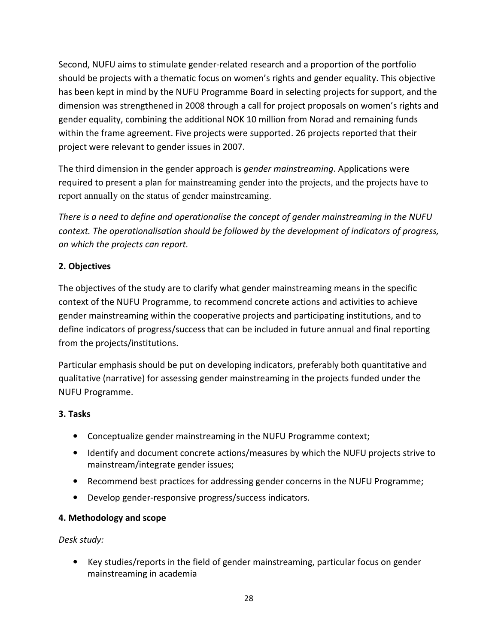Second, NUFU aims to stimulate gender-related research and a proportion of the portfolio should be projects with a thematic focus on women's rights and gender equality. This objective has been kept in mind by the NUFU Programme Board in selecting projects for support, and the dimension was strengthened in 2008 through a call for project proposals on women's rights and gender equality, combining the additional NOK 10 million from Norad and remaining funds within the frame agreement. Five projects were supported. 26 projects reported that their project were relevant to gender issues in 2007.

The third dimension in the gender approach is *gender mainstreaming*. Applications were required to present a plan for mainstreaming gender into the projects, and the projects have to report annually on the status of gender mainstreaming.

*There is a need to define and operationalise the concept of gender mainstreaming in the NUFU context. The operationalisation should be followed by the development of indicators of progress, on which the projects can report.* 

## **2. Objectives**

The objectives of the study are to clarify what gender mainstreaming means in the specific context of the NUFU Programme, to recommend concrete actions and activities to achieve gender mainstreaming within the cooperative projects and participating institutions, and to define indicators of progress/success that can be included in future annual and final reporting from the projects/institutions.

Particular emphasis should be put on developing indicators, preferably both quantitative and qualitative (narrative) for assessing gender mainstreaming in the projects funded under the NUFU Programme.

## **3. Tasks**

- Conceptualize gender mainstreaming in the NUFU Programme context;
- Identify and document concrete actions/measures by which the NUFU projects strive to mainstream/integrate gender issues;
- Recommend best practices for addressing gender concerns in the NUFU Programme;
- Develop gender-responsive progress/success indicators.

## **4. Methodology and scope**

*Desk study:* 

• Key studies/reports in the field of gender mainstreaming, particular focus on gender mainstreaming in academia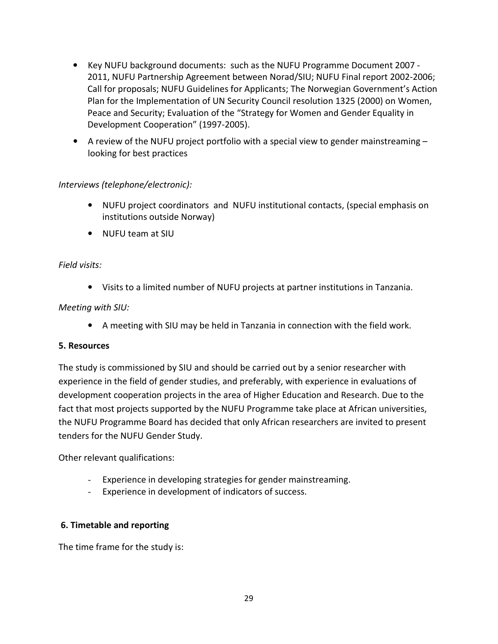- Key NUFU background documents: such as the NUFU Programme Document 2007 2011, NUFU Partnership Agreement between Norad/SIU; NUFU Final report 2002-2006; Call for proposals; NUFU Guidelines for Applicants; The Norwegian Government's Action Plan for the Implementation of UN Security Council resolution 1325 (2000) on Women, Peace and Security; Evaluation of the "Strategy for Women and Gender Equality in Development Cooperation" (1997-2005).
- A review of the NUFU project portfolio with a special view to gender mainstreaming  $$ looking for best practices

## *Interviews (telephone/electronic):*

- NUFU project coordinators and NUFU institutional contacts, (special emphasis on institutions outside Norway)
- NUFU team at SIU

## *Field visits:*

• Visits to a limited number of NUFU projects at partner institutions in Tanzania.

## *Meeting with SIU:*

• A meeting with SIU may be held in Tanzania in connection with the field work.

#### **5. Resources**

The study is commissioned by SIU and should be carried out by a senior researcher with experience in the field of gender studies, and preferably, with experience in evaluations of development cooperation projects in the area of Higher Education and Research. Due to the fact that most projects supported by the NUFU Programme take place at African universities, the NUFU Programme Board has decided that only African researchers are invited to present tenders for the NUFU Gender Study.

Other relevant qualifications:

- Experience in developing strategies for gender mainstreaming.
- Experience in development of indicators of success.

## **6. Timetable and reporting**

The time frame for the study is: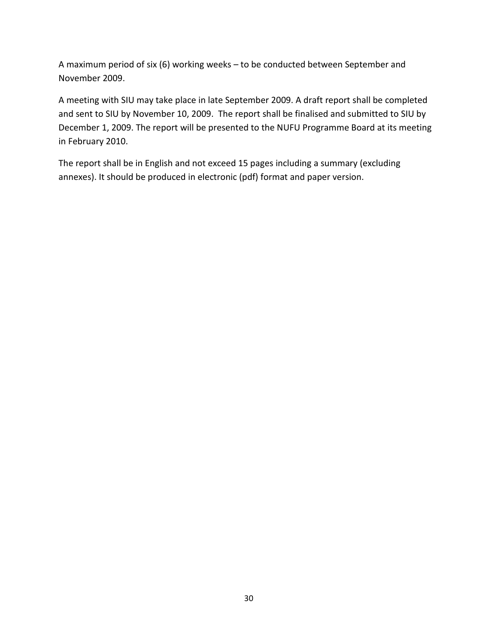A maximum period of six (6) working weeks – to be conducted between September and November 2009.

A meeting with SIU may take place in late September 2009. A draft report shall be completed and sent to SIU by November 10, 2009. The report shall be finalised and submitted to SIU by December 1, 2009. The report will be presented to the NUFU Programme Board at its meeting in February 2010.

The report shall be in English and not exceed 15 pages including a summary (excluding annexes). It should be produced in electronic (pdf) format and paper version.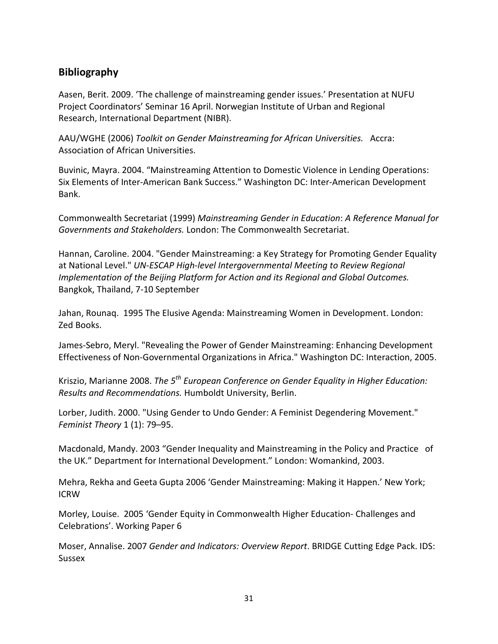## **Bibliography**

Aasen, Berit. 2009. 'The challenge of mainstreaming gender issues.' Presentation at NUFU Project Coordinators' Seminar 16 April. Norwegian Institute of Urban and Regional Research, International Department (NIBR).

AAU/WGHE (2006) *Toolkit on Gender Mainstreaming for African Universities.* Accra: Association of African Universities.

Buvinic, Mayra. 2004. "Mainstreaming Attention to Domestic Violence in Lending Operations: Six Elements of Inter-American Bank Success." Washington DC: Inter-American Development Bank.

Commonwealth Secretariat (1999) *Mainstreaming Gender in Education*: *A Reference Manual for Governments and Stakeholders.* London: The Commonwealth Secretariat.

Hannan, Caroline. 2004. "Gender Mainstreaming: a Key Strategy for Promoting Gender Equality at National Level." *UN-ESCAP High-level Intergovernmental Meeting to Review Regional Implementation of the Beijing Platform for Action and its Regional and Global Outcomes.*  Bangkok, Thailand, 7-10 September

Jahan, Rounaq. 1995 The Elusive Agenda: Mainstreaming Women in Development. London: Zed Books.

James-Sebro, Meryl. "Revealing the Power of Gender Mainstreaming: Enhancing Development Effectiveness of Non-Governmental Organizations in Africa." Washington DC: Interaction, 2005.

Kriszio, Marianne 2008. *The 5th European Conference on Gender Equality in Higher Education: Results and Recommendations.* Humboldt University, Berlin.

Lorber, Judith. 2000. "Using Gender to Undo Gender: A Feminist Degendering Movement." *Feminist Theory* 1 (1): 79–95.

Macdonald, Mandy. 2003 "Gender Inequality and Mainstreaming in the Policy and Practice of the UK." Department for International Development." London: Womankind, 2003.

Mehra, Rekha and Geeta Gupta 2006 'Gender Mainstreaming: Making it Happen.' New York; ICRW

Morley, Louise. 2005 'Gender Equity in Commonwealth Higher Education- Challenges and Celebrations'. Working Paper 6

Moser, Annalise. 2007 *Gender and Indicators: Overview Report*. BRIDGE Cutting Edge Pack. IDS: Sussex